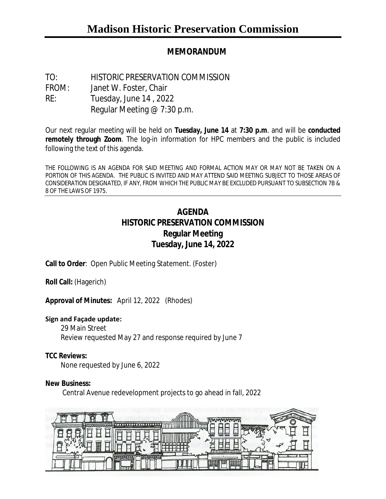## **MEMORANDUM**

TO: HISTORIC PRESERVATION COMMISSION FROM: Janet W. Foster, Chair RE: Tuesday, June 14 , 2022 Regular Meeting @ 7:30 p.m.

Our next regular meeting will be held on **Tuesday, June 14** at **7:30 p.m**. and will be **conducted remotely through Zoom**. The log-in information for HPC members and the public is included following the text of this agenda.

THE FOLLOWING IS AN AGENDA FOR SAID MEETING AND FORMAL ACTION MAY OR MAY NOT BE TAKEN ON A PORTION OF THIS AGENDA. THE PUBLIC IS INVITED AND MAY ATTEND SAID MEETING SUBJECT TO THOSE AREAS OF CONSIDERATION DESIGNATED, IF ANY, FROM WHICH THE PUBLIC MAY BE EXCLUDED PURSUANT TO SUBSECTION 7B & 8 OF THE LAWS OF 1975.

# **AGENDA HISTORIC PRESERVATION COMMISSION Regular Meeting Tuesday, June 14, 2022**

**Call to Order**: Open Public Meeting Statement. (Foster)

**Roll Call:** (Hagerich)

**Approval of Minutes:** April 12, 2022 (Rhodes)

#### **Sign and Façade update:**

29 Main Street Review requested May 27 and response required by June 7

#### **TCC Reviews:**

None requested by June 6, 2022

#### **New Business:**

Central Avenue redevelopment projects to go ahead in fall, 2022